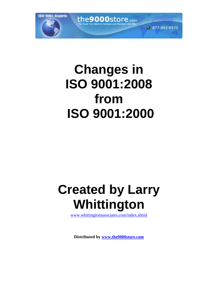

# **Changes in ISO 9001:2008 from ISO 9001:2000**

# **Created by Larry Whittington**

[www.whittingtonassociates.com/index.shtml](http://www.whittingtonassociates.com/index.shtml)

**Distributed by [www.the9000store.com](http://www.the9000store.com/)**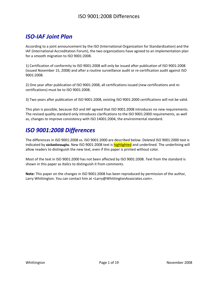# *ISO-IAF Joint Plan*

According to a joint announcement by the ISO (International Organization for Standardization) and the IAF (International Accreditation Forum), the two organizations have agreed to an implementation plan for a smooth migration to ISO 9001:2008.

1) Certification of conformity to ISO 9001:2008 will only be issued after publication of ISO 9001:2008 (issued November 15, 2008) and after a routine surveillance audit or re-certification audit against ISO 9001:2008.

2) One year after publication of ISO 9001:2008, all certifications issued (new certifications and recertifications) must be to ISO 9001:2008.

3) Two years after publication of ISO 9001:2008, existing ISO 9001:2000 certifications will not be valid.

This plan is possible, because ISO and IAF agreed that ISO 9001:2008 introduces no new requirements. The revised quality standard only introduces clarifications to the ISO 9001:2000 requirements, as well as, changes to improve consistency with ISO 14001:2004, the environmental standard.

# *ISO 9001:2008 Differences*

The differences in ISO 9001:2008 vs. ISO 9001:2000 are described below. Deleted ISO 9001:2000 text is indicated by strikethroughs. New ISO 9001:2008 text is **highlighted** and underlined. The underlining will allow readers to distinguish the new text, even if this paper is printed without color.

Most of the text in ISO 9001:2000 has not been affected by ISO 9001:2008. Text from the standard is shown in this paper as *Italics* to distinguish it from comments.

**Note:** This paper on the changes in ISO 9001:2008 has been reproduced by permission of the author, Larry Whittington. You can contact him at <Larry@WhittingtonAssociates.com>.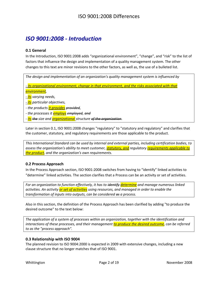# *ISO 9001:2008 - Introduction*

#### **0.1 General**

In the Introduction, ISO 9001:2008 adds "organizational environment", "change", and "risk" to the list of factors that influence the design and implementation of a quality management system. The other changes to this text are minor revisions to the other factors, as well as, the use of a bulleted list.

*The design and implementation of an organization's quality management system is influenced by*

*- its organizational environment, change in that environment, and the risks associated with that environment,*

- *- its varying needs,*
- *- its particular objectives,*
- *- the products it provides provided,*
- *- the processes it employs employed, and*
- *- its the size and organizational structure of the organization.*

Later in section 0.1, ISO 9001:2008 changes "regulatory" to "statutory and regulatory" and clarifies that the customer, statutory, and regulatory requirements are those applicable to the product.

*This International Standard can be used by internal and external parties, including certification bodies, to assess the organization's ability to meet customer, statutory, and regulatory requirements applicable to the product, and the organization's own requirements.*

#### **0.2 Process Approach**

In the Process Approach section, ISO 9001:2008 switches from having to "identify" linked activities to "determine" linked activities. The section clarifies that a Process can be an activity or set of activities.

*For an organization to function effectively, it has to identify determine and manage numerous linked activities. An activity or set of activities using resources, and managed in order to enable the transformation of inputs into outputs, can be considered as a process.*

Also in this section, the definition of the Process Approach has been clarified by adding "to produce the desired outcome" to the text below:

*The application of a system of processes within an organization, together with the identification and*  interactions of these processes, and their management to produce the desired outcome, can be referred *to as the "process approach".*

#### **0.3 Relationship with ISO 9004**

The planned revision to ISO 9004:2000 is expected in 2009 with extensive changes, including a new clause structure that no longer matches that of ISO 9001.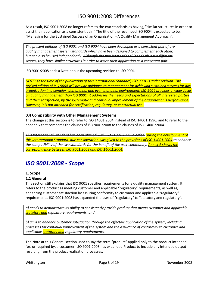As a result, ISO 9001:2008 no longer refers to the two standards as having, "similar structures in order to assist their application as a consistent pair." The title of the revamped ISO 9004 is expected to be, "Managing for the Sustained Success of an Organization - A Quality Management Approach".

*The present editions of ISO 9001 and ISO 9004 have been developed as a consistent pair of are quality management system standards which have been designed to complement each other, but can also be used independently. Although the two International Standards have different scopes, they have similar structures in order to assist their application as a consistent pair.*

#### ISO 9001:2008 adds a Note about the upcoming revision to ISO 9004.

*NOTE: At the time of the publication of this International Standard, ISO 9004 is under revision. The revised edition of ISO 9004 will provide guidance to management for achieving sustained success for any organization in a complex, demanding, and ever changing, environment. ISO 9004 provides a wider focus on quality management than ISO 9001; it addresses the needs and expectations of all interested parties and their satisfaction, by the systematic and continual improvement of the organization's performance. However, it is not intended for certification, regulatory, or contractual use.*

#### **0.4 Compatibility with Other Management Systems**

The change at this section is to refer to ISO 14001:2004 instead of ISO 14001:1996, and to refer to the appendix that compares the clauses of ISO 9001:2008 to the clauses of ISO 14001:2004.

*This International Standard has been aligned with ISO 14001:1996 in order During the development of this International Standard, due consideration was given to the provisions of ISO 14001:2004 to enhance the compatibility of the two standards for the benefit of the user community. Annex A shows the correspondence between ISO 9001:2008 and ISO 14001:2004.*

# *ISO 9001:2008 - Scope*

#### **1. Scope**

#### **1.1 General**

This section still explains that ISO 9001 specifies requirements for a quality management system. It refers to the product as meeting customer and applicable "regulatory" requirements, as well as, enhancing customer satisfaction by assuring conformity to customer and applicable "regulatory" requirements. ISO 9001:2008 has expanded the uses of "regulatory" to "statutory and regulatory".

*a) needs to demonstrate its ability to consistently provide product that meets customer and applicable statutory and regulatory requirements, and*

*b) aims to enhance customer satisfaction through the effective application of the system, including processes for continual improvement of the system and the assurance of conformity to customer and applicable statutory and regulatory requirements.*

The Note at this General section used to say the term "product" applied only to the product intended for, or required by, a customer. ISO 9001:2008 has expanded Product to include any intended output resulting from the product realization processes.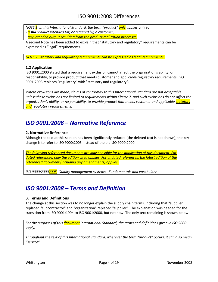*NOTE 1: In this International Standard, the term "product" only applies only to* 

*- a the product intended for, or required by, a customer,*

*- any intended output resulting from the product realization processes.*

A second Note has been added to explain that "statutory and regulatory" requirements can be expressed as "legal" requirements.

*NOTE 2: Statutory and regulatory requirements can be expressed as legal requirements.* 

#### **1.2 Application**

ISO 9001:2000 stated that a requirement exclusion cannot affect the organization's ability, or responsibility, to provide product that meets customer and applicable regulatory requirements. ISO 9001:2008 replaces "regulatory" with "statutory and regulatory".

*Where exclusions are made, claims of conformity to this International Standard are not acceptable unless these exclusions are limited to requirements within Clause 7, and such exclusions do not affect the organization's ability, or responsibility, to provide product that meets customer and applicable statutory and regulatory requirements.*

# *ISO 9001:2008 – Normative Reference*

#### **2. Normative Reference**

Although the text at this section has been significantly reduced (the deleted text is not shown), the key change is to refer to ISO 9000:2005 instead of the old ISO 9000:2000.

*The following referenced documents are indispensable for the application of this document. For dated references, only the edition cited applies. For undated references, the latest edition of the referenced document (including any amendments) applies.*

*ISO 9000:20002005, Quality management systems - Fundamentals and vocabulary*

# *ISO 9001:2008 – Terms and Definition*

#### **3. Terms and Definitions**

The change at this section was to no longer explain the supply chain terms, including that "supplier" replaced "subcontractor" and "organization" replaced "supplier". The explanation was needed for the transition from ISO 9001:1994 to ISO 9001:2000, but not now. The only text remaining is shown below:

*For the purposes of this document International Standard, the terms and definitions given in ISO 9000 apply.*

*Throughout the text of this International Standard, wherever the term "product" occurs, it can also mean "service".*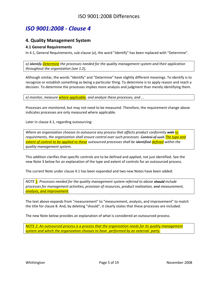# *ISO 9001:2008 - Clause 4*

#### **4. Quality Management System**

#### **4.1 General Requirements**

In 4.1, General Requirements, sub-clause (a), the word "Identify" has been replaced with "Determine".

*a) Identify Determine the processes needed for the quality management system and their application throughout the organization (see 1.2),*

Although similar, the words "Identify" and "Determine" have slightly different meanings. To identify is to recognize or establish something as being a particular thing. To determine is to apply reason and reach a decision. To determine the processes implies more analysis and judgment than merely identifying them.

*e) monitor, measure where applicable, and analyze these processes, and ...*

Processes are monitored, but may not need to be measured. Therefore, the requirement change above indicates processes are only measured where applicable.

Later in clause 4.1, regarding outsourcing:

*Where an organization chooses to outsource any process that affects product conformity with to requirements, the organization shall ensure control over such processes. Control of such The type and extent of control to be applied to these outsourced processes shall be identified defined within the quality management system.*

This addition clarifies that specific controls are to be defined and applied, not just identified. See the new Note 3 below for an explanation of the type and extent of controls for an outsourced process.

The current Note under clause 4.1 has been expanded and two new Notes have been added:

*NOTE*  $\underline{\mathbf{1}}$ *: Processes needed for the quality management system referred to above should include processes for management activities, provision of resources, product realization, and measurement, analysis, and improvement.*

The text above expands from "measurement" to "measurement, analysis, and improvement" to match the title for clause 8. And, by deleting "should", it clearly states that these processes are included.

The new Note below provides an explanation of what is considered an outsourced process.

*NOTE 2: An outsourced process is a process that the organization needs for its quality management system and which the organization chooses to have performed by an external party.*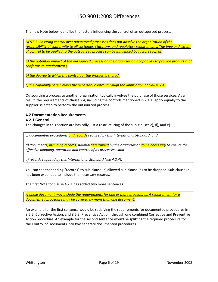The new Note below identifies the factors influencing the control of an outsourced process.

*NOTE 3: Ensuring control over outsourced processes does not absolve the organization of the responsibility of conformity to all customer, statutory, and regulatory requirements. The type and extent of control to be applied to the outsourced process can be influenced by factors such as*

*a) the potential impact of the outsourced process on the organization's capability to provide product that conforms to requirements,*

*b) the degree to which the control for the process is shared;*

*c) the capability of achieving the necessary control through the application of clause 7.4.*

Outsourcing a process to another organization typically involves the purchase of those services. As a result, the requirements of clause 7.4, including the controls mentioned in 7.4.1, apply equally to the supplier selected to perform the outsourced process.

#### **4.2 Documentation Requirements**

#### **4.2.1 General**

The changes in this section are basically just a restructuring of the sub-clauses c), d), and e).

*c) documented procedures and records required by this International Standard, and*

*d) documents, including records, needed determined by the organization to be necessary to ensure the effective planning, operation and control of its processes. ,and*

*e) records required by this International Standard (see 4.2.4).*

You can see that adding "records" to sub-clause (c) allowed sub-clause (e) to be dropped. Sub-clause (d) has been expanded to include the necessary records.

The first Note for clause 4.2.1 has added two more sentences:

*A single document may include the requirements for one or more procedures. A requirement for a documented procedure may be covered by more than one document.*

An example for the first sentence would be satisfying the requirements for documented procedures in 8.5.2, Corrective Action, and 8.5.3, Preventive Action, through one combined Corrective and Preventive Action procedure. An example for the second sentence would be splitting the required procedure for the Control of Documents into two separate documented procedures.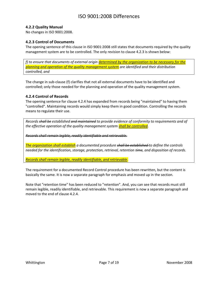#### **4.2.2 Quality Manual**

No changes in ISO 9001:2008.

#### **4.2.3 Control of Documents**

The opening sentence of this clause in ISO 9001:2008 still states that documents required by the quality management system are to be controlled. The only revision to clause 4.2.3 is shown below:

*f) to ensure that documents of external origin determined by the organization to be necessary for the planning and operation of the quality management system are identified and their distribution controlled, and*

The change in sub-clause (f) clarifies that not all external documents have to be identified and controlled; only those needed for the planning and operation of the quality management system.

#### **4.2.4 Control of Records**

The opening sentence for clause 4.2.4 has expanded from records being "maintained" to having them "controlled". Maintaining records would simply keep them in good condition. Controlling the records means to regulate their use.

*Records shall be established and maintained to provide evidence of conformity to requirements and of the effective operation of the quality management system shall be controlled.*

*Records shall remain legible, readily identifiable and retrievable.*

*The organization shall establish a documented procedure shall be established to define the controls needed for the identification, storage, protection, retrieval, retention time, and disposition of records.*

*Records shall remain legible, readily identifiable, and retrievable.*

The requirement for a documented Record Control procedure has been rewritten, but the content is basically the same. It is now a separate paragraph for emphasis and moved up in the section.

Note that "retention time" has been reduced to "retention". And, you can see that records must still remain legible, readily identifiable, and retrievable. This requirement is now a separate paragraph and moved to the end of clause 4.2.4.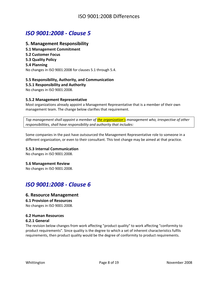# *ISO 9001:2008 - Clause 5*

#### **5. Management Responsibility**

**5.1 Management Commitment 5.2 Customer Focus 5.3 Quality Policy 5.4 Planning** No changes in ISO 9001:2008 for clauses 5.1 through 5.4.

#### **5.5 Responsibility, Authority, and Communication**

#### **5.5.1 Responsibility and Authority**

No changes in ISO 9001:2008.

#### **5.5.2 Management Representative**

Most organizations already appoint a Management Representative that is a member of their own management team. The change below clarifies that requirement.

*Top management shall appoint a member of the organization's management who, irrespective of other responsibilities, shall have responsibility and authority that includes:* 

Some companies in the past have outsourced the Management Representative role to someone in a different organization, or even to their consultant. This text change may be aimed at that practice.

#### **5.5.3 Internal Communication**

No changes in ISO 9001:2008.

#### **5.6 Management Review**

No changes in ISO 9001:2008.

# *ISO 9001:2008 - Clause 6*

#### **6. Resource Management**

#### **6.1 Provision of Resources**

No changes in ISO 9001:2008.

#### **6.2 Human Resources**

#### **6.2.1 General**

The revision below changes from work affecting "product quality" to work affecting "conformity to product requirements". Since quality is the degree to which a set of inherent characteristics fulfils requirements, then product quality would be the degree of conformity to product requirements.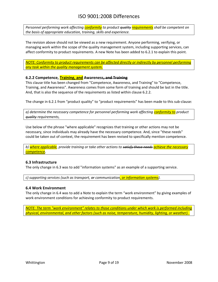*Personnel performing work affecting conformity to product quality requirements shall be competent on the basis of appropriate education, training, skills and experience.*

The revision above should not be viewed as a new requirement. Anyone performing, verifying, or managing work within the scope of the quality management system, including supporting services, can affect conformity to product requirements. A new Note has been added to 6.2.1 to explain this point.

*NOTE: Conformity to product requirements can be affected directly or indirectly by personnel performing any task within the quality management system.*

#### **6.2.2 Competence, Training, and Awareness, and Training**

This clause title has been changed from "Competence, Awareness, and Training" to "Competence, Training, and Awareness". Awareness comes from some form of training and should be last in the title. And, that is also the sequence of the requirements as listed within clause 6.2.2.

The change in 6.2.1 from "product quality" to "product requirements" has been made to this sub-clause:

*a) determine the necessary competence for personnel performing work affecting conformity to product quality requirements,*

Use below of the phrase "where applicable" recognizes that training or other actions may not be necessary, since individuals may already have the necessary competence. And, since "these needs" could be taken out of context, the requirement has been revised to specifically mention competence.

*b) where applicable, provide training or take other actions to satisfy these needs achieve the necessary competence,* 

#### **6.3 Infrastructure**

The only change in 6.3 was to add "information systems" as an example of a supporting service.

*c) supporting services (such as transport, or communication, or information systems).*

#### **6.4 Work Environment**

The only change in 6.4 was to add a Note to explain the term "work environment" by giving examples of work environment conditions for achieving conformity to product requirements.

*NOTE: The term "work environment" relates to those conditions under which work is performed including physical, environmental, and other factors (such as noise, temperature, humidity, lighting, or weather).*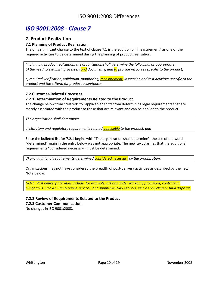# *ISO 9001:2008 - Clause 7*

#### **7. Product Realization**

#### **7.1 Planning of Product Realization**

The only significant change to the text of clause 7.1 is the addition of "measurement" as one of the required activities to be determined during the planning of product realization.

*In planning product realization, the organization shall determine the following, as appropriate: b) the need to establish processes, and documents, and to provide resources specific to the product;*

*c) required verification, validation, monitoring, measurement, inspection and test activities specific to the product and the criteria for product acceptance;* 

#### **7.2 Customer-Related Processes**

#### **7.2.1 Determination of Requirements Related to the Product**

The change below from "related" to "applicable" shifts from determining legal requirements that are merely associated with the product to those that are relevant and can be applied to the product.

*The organization shall determine:* 

*c) statutory and regulatory requirements related applicable to the product, and*

Since the bulleted list for 7.2.1 begins with "The organization shall determine", the use of the word "determined" again in the entry below was not appropriate. The new text clarifies that the additional requirements "considered necessary" must be determined.

*d) any additional requirements determined considered necessary by the organization.*

Organizations may not have considered the breadth of post-delivery activities as described by the new Note below.

*NOTE: Post delivery activities include, for example, actions under warranty provisions, contractual obligations such as maintenance services, and supplementary services such as recycling or final disposal.*

#### **7.2.2 Review of Requirements Related to the Product**

#### **7.2.3 Customer Communication**

No changes in ISO 9001:2008.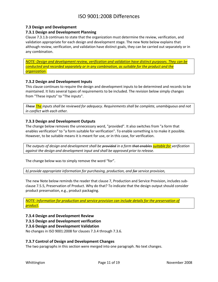#### **7.3 Design and Development**

#### **7.3.1 Design and Development Planning**

Clause 7.3.1.b continues to state that the organization must determine the review, verification, and validation appropriate for each design and development stage. The new Note below explains that although review, verification, and validation have distinct goals, they can be carried out separately or in any combination.

*NOTE: Design and development review, verification and validation have distinct purposes. They can be conducted and recorded separately or in any combination, as suitable for the product and the organization.*

#### **7.3.2 Design and Development Inputs**

This clause continues to require the design and development inputs to be determined and records to be maintained. It lists several types of requirements to be included. The revision below simply changes from "These inputs" to "The inputs".

*These The inputs shall be reviewed for adequacy. Requirements shall be complete, unambiguous and not in conflict with each other.* 

#### **7.3.3 Design and Development Outputs**

The change below removes the unnecessary word, "provided". It also switches from "a form that enables verification" to "a form suitable for verification". To enable something is to make it possible. However, to be suitable means it is meant for use, or in this case, for verification.

*The outputs of design and development shall be provided in a form that enables suitable for verification against the design and development input and shall be approved prior to release.*

The change below was to simply remove the word "for".

*b) provide appropriate information for purchasing, production, and for service provision,*

The new Note below reminds the reader that clause 7, Production and Service Provision, includes subclause 7.5.5, Preservation of Product. Why do that? To indicate that the design output should consider product preservation, e.g., product packaging.

*NOTE: Information for production and service provision can include details for the preservation of product.*

- **7.3.4 Design and Development Review**
- **7.3.5 Design and Development verification**

#### **7.3.6 Design and Development Validation**

No changes in ISO 9001:2008 for clauses 7.3.4 through 7.3.6.

#### **7.3.7 Control of Design and Development Changes**

The two paragraphs in this section were merged into one paragraph. No text changes.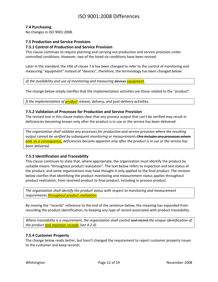#### **7.4 Purchasing**

No changes in ISO 9001:2008.

#### **7.5 Production and Service Provision 7.5.1 Control of Production and Service Provision**

This clause continues to require planning and carrying out production and service provision under controlled conditions. However, two of the listed six conditions have been revised.

Later in the standard, the title of clause 7.6 has been changed to refer to the control of monitoring and measuring "equipment" instead of "devices", therefore, the terminology has been changed below:

*d) the availability and use of monitoring and measuring devices equipment,*

The change below simply clarifies that the implementation activities are those related to the "product".

*f) the implementation of product release, delivery, and post-delivery activities.*

#### **7.5.2 Validation of Processes for Production and Service Provision**

The revised text in this clause makes clear that any process output that can't be verified may result in deficiencies becoming known only after the product is in use or the service has been delivered.

*The organization shall validate any processes for production and service provision where the resulting output cannot be verified by subsequent monitoring or measurement. This includes any processes where and, as a consequence, deficiencies become apparent only after the product is in use or the service has been delivered.*

#### **7.5.3 Identification and Traceability**

This clause continues to state that, where appropriate, the organization must identify the product by suitable means "throughout product realization". The text below refers to inspection and test status of the product, and some organizations may have thought it only applied to the final product. The revision below clarifies that identifying the product monitoring and measurement status applies throughout product realization, from received product to final product, including in-process product.

*The organization shall identify the product status with respect to monitoring and measurement requirements throughout product realization.*

By moving the "records" reference to the end of the sentence below, the meaning has expanded from recording the product identification, to keeping any type of record associated with product traceability.

*Where traceability is a requirement, the organization shall control and record the unique identification of the product and maintain records (see 4.2.4).*

#### **7.5.4 Customer Property**

The change below reads better, but hasn't changed the requirement to report customer property issues to the customer and keep records.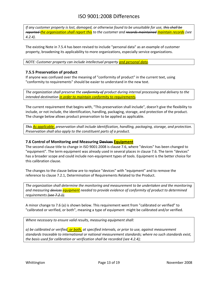*If any customer property is lost, damaged, or otherwise found to be unsuitable for use, this shall be reported the organization shall report this to the customer and records maintained maintain records (see 4.2.4).*

The existing Note in 7.5.4 has been revised to include "personal data" as an example of customer property, broadening its applicability to more organizations, especially service organizations.

*NOTE: Customer property can include intellectual property and personal data.* 

#### **7.5.5 Preservation of product**

If anyone was confused over the meaning of "conformity of product" in the current text, using "conformity to requirements" should be easier to understand in the new text.

*The organization shall preserve the conformity of product during internal processing and delivery to the intended destination in order to maintain conformity to requirements.*

The current requirement that begins with, "This preservation shall include", doesn't give the flexibility to include, or not include, the identification, handling, packaging, storage, and protection of the product. The change below allows product preservation to be applied as applicable.

*This As applicable, preservation shall include identification, handling, packaging, storage, and protection. Preservation shall also apply to the constituent parts of a product.*

#### **7.6 Control of Monitoring and Measuring Devices Equipment**

The second clause title to change in ISO 9001:2008 is clause 7.6, where "devices" has been changed to "equipment". The term equipment was already used in several places in clause 7.6. The term "devices" has a broader scope and could include non-equipment types of tools. Equipment is the better choice for this calibration clause.

The changes to the clause below are to replace "devices" with "equipment" and to remove the reference to clause 7.2.1, Determination of Requirements Related to the Product.

*The organization shall determine the monitoring and measurement to be undertaken and the monitoring and measuring devices equipment needed to provide evidence of conformity of product to determined requirements (see 7.2.1).*

A minor change to 7.6 (a) is shown below. This requirement went from "calibrated or verified" to "calibrated or verified, or both", meaning a type of equipment might be calibrated and/or verified.

*Where necessary to ensure valid results, measuring equipment shall:* 

*a) be calibrated or verified, or both, at specified intervals, or prior to use, against measurement standards traceable to international or national measurement standards; where no such standards exist, the basis used for calibration or verification shall be recorded (see 4.2.4);*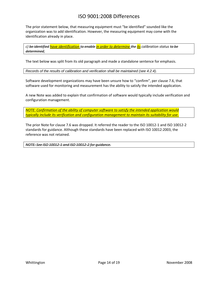The prior statement below, that measuring equipment must "be identified" sounded like the organization was to add identification. However, the measuring equipment may come with the identification already in place.

*c) be identified have identification to enable in order to determine the its calibration status to be determined;*

The text below was split from its old paragraph and made a standalone sentence for emphasis.

*Records of the results of calibration and verification shall be maintained (see 4.2.4).*

Software development organizations may have been unsure how to "confirm", per clause 7.6, that software used for monitoring and measurement has the ability to satisfy the intended application.

A new Note was added to explain that confirmation of software would typically include verification and configuration management.

*NOTE: Confirmation of the ability of computer software to satisfy the intended application would typically include its verification and configuration management to maintain its suitability for use.*

The prior Note for clause 7.6 was dropped. It referred the reader to the ISO 10012-1 and ISO 10012-2 standards for guidance. Although these standards have been replaced with ISO 10012:2003, the reference was not retained.

*NOTE: See ISO 10012-1 and ISO 10012-2 for guidance.*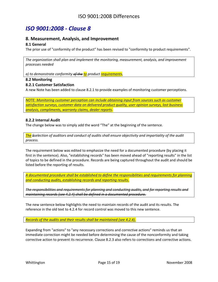# *ISO 9001:2008 - Clause 8*

#### **8. Measurement, Analysis, and Improvement**

#### **8.1 General**

The prior use of "conformity of the product" has been revised to "conformity to product requirements".

*The organization shall plan and implement the monitoring, measurement, analysis, and improvement processes needed*

*a) to demonstrate conformity of the to product requirements,*

#### **8.2 Monitoring**

#### **8.2.1 Customer Satisfaction**

A new Note has been added to clause 8.2.1 to provide examples of monitoring customer perceptions.

*NOTE: Monitoring customer perception can include obtaining input from sources such as customer satisfaction surveys, customer data on delivered product quality, user opinion surveys, lost business analysis, compliments, warranty claims, dealer reports.*

#### **8.2.2 Internal Audit**

The change below was to simply add the word "The" at the beginning of the sentence.

*The Sselection of auditors and conduct of audits shall ensure objectivity and impartiality of the audit process.*

The requirement below was edited to emphasize the need for a documented procedure (by placing it first in the sentence). Also, "establishing records" has been moved ahead of "reporting results" in the list of topics to be defined in the procedure. Records are being captured throughout the audit and should be listed before the reporting of results.

*A documented procedure shall be established to define the responsibilities and requirements for planning and conducting audits, establishing records and reporting results.*

*The responsibilities and requirements for planning and conducting audits, and for reporting results and maintaining records (see 4.2.4) shall be defined in a documented procedure.* 

The new sentence below highlights the need to maintain records of the audit and its results. The reference in the old text to 4.2.4 for record control was moved to this new sentence.

*Records of the audits and their results shall be maintained (see 4.2.4).*

Expanding from "actions" to "any necessary corrections and corrective actions" reminds us that an immediate correction might be needed before determining the cause of the nonconformity and taking corrective action to prevent its recurrence. Clause 8.2.3 also refers to corrections and corrective actions.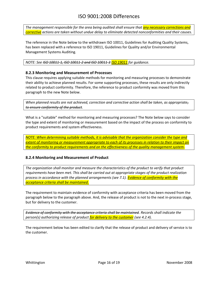*The management responsible for the area being audited shall ensure that any necessary corrections and corrective actions are taken without undue delay to eliminate detected nonconformities and their causes.*

The reference in the Note below to the withdrawn ISO 10011, Guidelines for Auditing Quality Systems, has been replaced with a reference to ISO 19011, Guidelines for Quality and/or Environmental Management Systems Auditing.

*NOTE: See ISO 10011-1, ISO 10011-2 and ISO 10011-3 ISO 19011 for guidance.*

#### **8.2.3 Monitoring and Measurement of Processes**

This clause requires applying suitable methods for monitoring and measuring processes to demonstrate their ability to achieve planned results. For some supporting processes, these results are only indirectly related to product conformity. Therefore, the reference to product conformity was moved from this paragraph to the new Note below.

*When planned results are not achieved, correction and corrective action shall be taken, as appropriate, to ensure conformity of the product.* 

What is a "suitable" method for monitoring and measuring processes? The Note below says to consider the type and extent of monitoring or measurement based on the impact of the process on conformity to product requirements and system effectiveness.

*NOTE: When determining suitable methods, it is advisable that the organization consider the type and extent of monitoring or measurement appropriate to each of its processes in relation to their impact on the conformity to product requirements and on the effectiveness of the quality management system.*

#### **8.2.4 Monitoring and Measurement of Product**

*The organization shall monitor and measure the characteristics of the product to verify that product requirements have been met. This shall be carried out at appropriate stages of the product realization process in accordance with the planned arrangements (see 7.1). Evidence of conformity with the acceptance criteria shall be maintained.*

The requirement to maintain evidence of conformity with acceptance criteria has been moved from the paragraph below to the paragraph above. And, the release of product is not to the next in-process stage, but for delivery to the customer.

*Evidence of conformity with the acceptance criteria shall be maintained. Records shall indicate the person(s) authorizing release of product for delivery to the customer (see 4.2.4).*

The requirement below has been edited to clarify that the release of product and delivery of service is to the customer.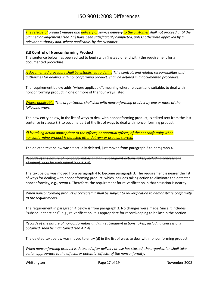*The release of product release and delivery of service delivery to the customer shall not proceed until the planned arrangements (see 7.1) have been satisfactorily completed, unless otherwise approved by a relevant authority and, where applicable, by the customer.*

#### **8.3 Control of Nonconforming Product**

The sentence below has been edited to begin with (instead of end with) the requirement for a documented procedure.

*A documented procedure shall be established to define Tthe controls and related responsibilities and authorities for dealing with nonconforming product. shall be defined in a documented procedure.* 

The requirement below adds "where applicable", meaning where relevant and suitable, to deal with nonconforming product in one or more of the four ways listed.

*Where applicable, Tthe organization shall deal with nonconforming product by one or more of the following ways:*

The new entry below, in the list of ways to deal with nonconforming product, is edited text from the last sentence in clause 8.3 to become part of the list of ways to deal with nonconforming product.

*d) by taking action appropriate to the effects, or potential effects, of the nonconformity when nonconforming product is detected after delivery or use has started.*

The deleted text below wasn't actually deleted, just moved from paragraph 3 to paragraph 4.

*Records of the nature of nonconformities and any subsequent actions taken, including concessions obtained, shall be maintained (see 4.2.4).* 

The text below was moved from paragraph 4 to become paragraph 3. The requirement is nearer the list of ways for dealing with nonconforming product, which includes taking action to eliminate the detected nonconformity, e.g., rework. Therefore, the requirement for re-verification in that situation is nearby.

*When nonconforming product is corrected it shall be subject to re-verification to demonstrate conformity to the requirements.* 

The requirement in paragraph 4 below is from paragraph 3. No changes were made. Since it includes "subsequent actions", e.g., re-verification, it is appropriate for recordkeeping to be last in the section.

*Records of the nature of nonconformities and any subsequent actions taken, including concessions obtained, shall be maintained (see 4.2.4)*

The deleted text below was moved to entry (d) in the list of ways to deal with nonconforming product.

*When nonconforming product is detected after delivery or use has started, the organization shall take action appropriate to the effects, or potential effects, of the nonconformity.*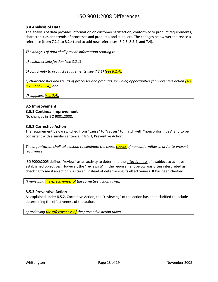#### **8.4 Analysis of Data**

The analysis of data provides information on customer satisfaction, conformity to product requirements, characteristics and trends of processes and products, and suppliers. The changes below were to revise a reference (from 7.2.1 to 8.2.4) and to add new references (8.2.3, 8.2.4, and 7.4).

*The analysis of data shall provide information relating to*

*a) customer satisfaction (see 8.2.1)*

*b) conformity to product requirements (see 7.2.1) (see 8.2.4),*

*c) characteristics and trends of processes and products, including opportunities for preventive action (see 8.2.3 and 8.2.4), and*

*d) suppliers (see 7.4).*

#### **8.5 Improvement**

#### **8.5.1 Continual Improvement**

No changes in ISO 9001:2008.

#### **8.5.2 Corrective Action**

The requirement below switched from "cause" to "causes" to match with "nonconformities" and to be consistent with a similar sentence in 8.5.3, Preventive Action.

*The organization shall take action to eliminate the cause causes of nonconformities in order to prevent recurrence.*

ISO 9000:2005 defines "review" as an activity to determine the effectiveness of a subject to achieve established objectives. However, the "reviewing" in the requirement below was often interpreted as checking to see if an action was taken, instead of determining its effectiveness. It has been clarified.

*f) reviewing the effectiveness of the corrective action taken.*

#### **8.5.3 Preventive Action**

As explained under 8.5.2, Corrective Action, the "reviewing" of the action has been clarified to include determining the effectiveness of the action.

*e) reviewing the effectiveness of the preventive action taken.*